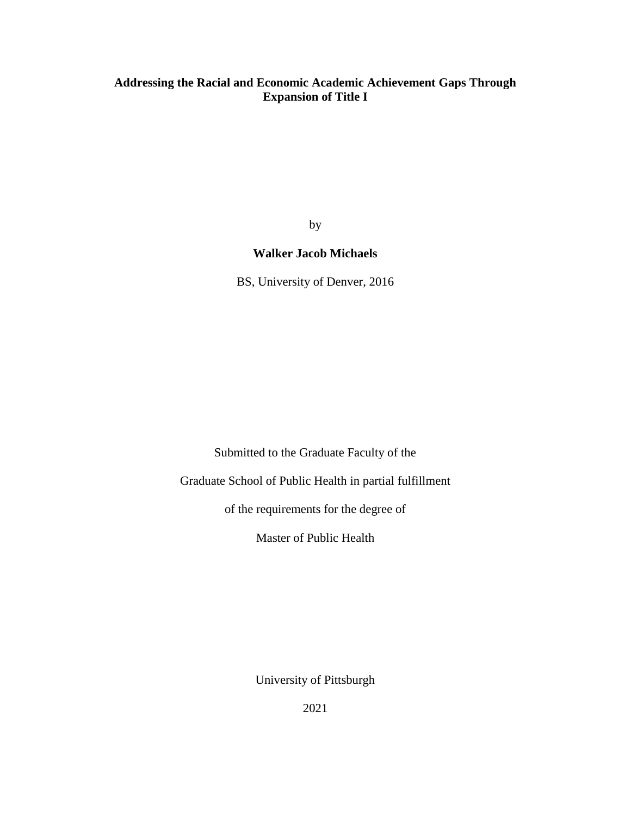# **Addressing the Racial and Economic Academic Achievement Gaps Through Expansion of Title I**

by

# **Walker Jacob Michaels**

BS, University of Denver, 2016

Submitted to the Graduate Faculty of the

Graduate School of Public Health in partial fulfillment

of the requirements for the degree of

Master of Public Health

University of Pittsburgh

2021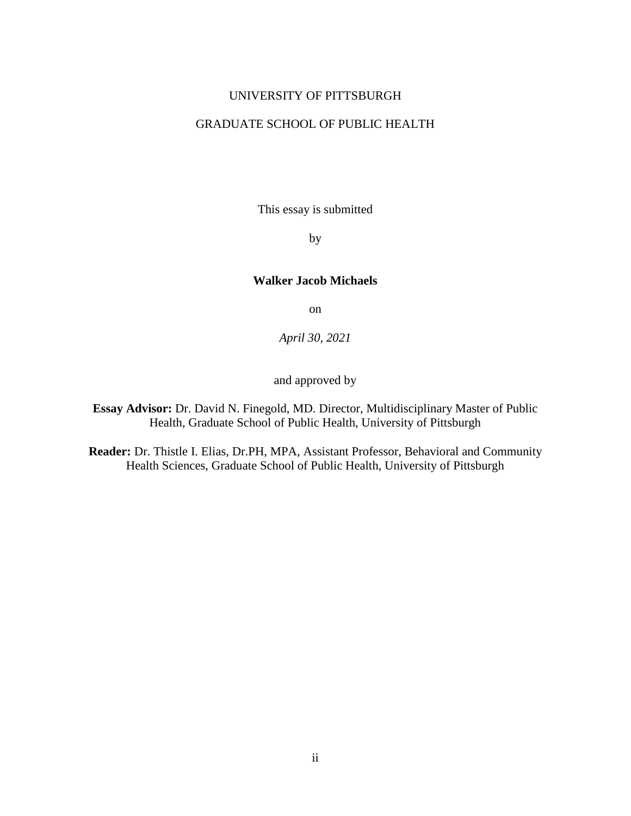#### UNIVERSITY OF PITTSBURGH

## GRADUATE SCHOOL OF PUBLIC HEALTH

This essay is submitted

by

#### **Walker Jacob Michaels**

on

*April 30, 2021*

and approved by

**Essay Advisor:** Dr. David N. Finegold, MD. Director, Multidisciplinary Master of Public Health, Graduate School of Public Health, University of Pittsburgh

**Reader:** Dr. Thistle I. Elias, Dr.PH, MPA, Assistant Professor, Behavioral and Community Health Sciences, Graduate School of Public Health, University of Pittsburgh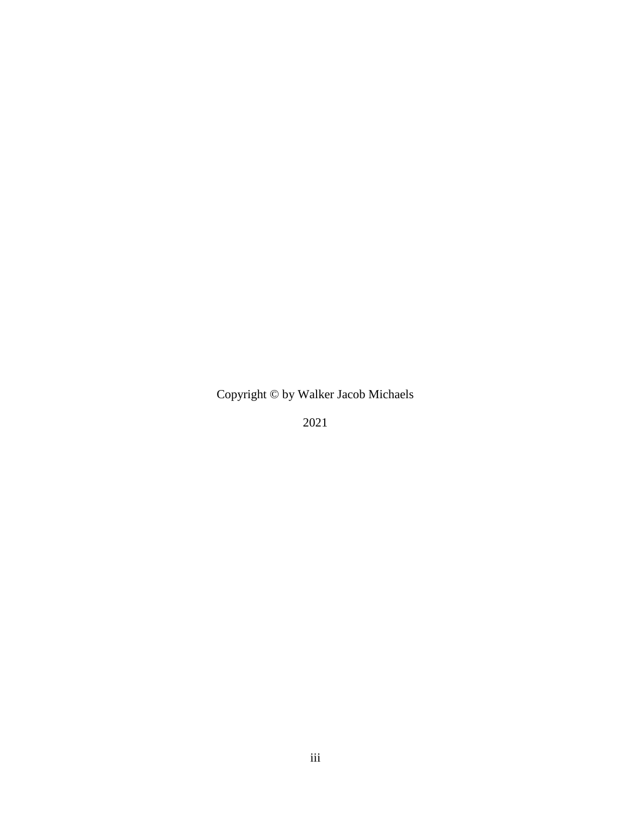Copyright © by Walker Jacob Michaels

2021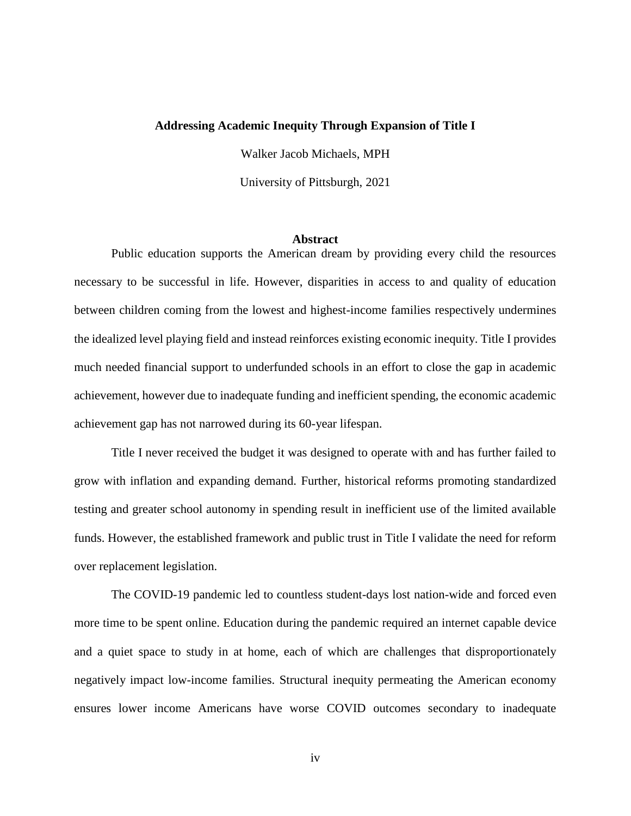#### **Addressing Academic Inequity Through Expansion of Title I**

Walker Jacob Michaels, MPH

University of Pittsburgh, 2021

#### **Abstract**

Public education supports the American dream by providing every child the resources necessary to be successful in life. However, disparities in access to and quality of education between children coming from the lowest and highest-income families respectively undermines the idealized level playing field and instead reinforces existing economic inequity. Title I provides much needed financial support to underfunded schools in an effort to close the gap in academic achievement, however due to inadequate funding and inefficient spending, the economic academic achievement gap has not narrowed during its 60-year lifespan.

Title I never received the budget it was designed to operate with and has further failed to grow with inflation and expanding demand. Further, historical reforms promoting standardized testing and greater school autonomy in spending result in inefficient use of the limited available funds. However, the established framework and public trust in Title I validate the need for reform over replacement legislation.

The COVID-19 pandemic led to countless student-days lost nation-wide and forced even more time to be spent online. Education during the pandemic required an internet capable device and a quiet space to study in at home, each of which are challenges that disproportionately negatively impact low-income families. Structural inequity permeating the American economy ensures lower income Americans have worse COVID outcomes secondary to inadequate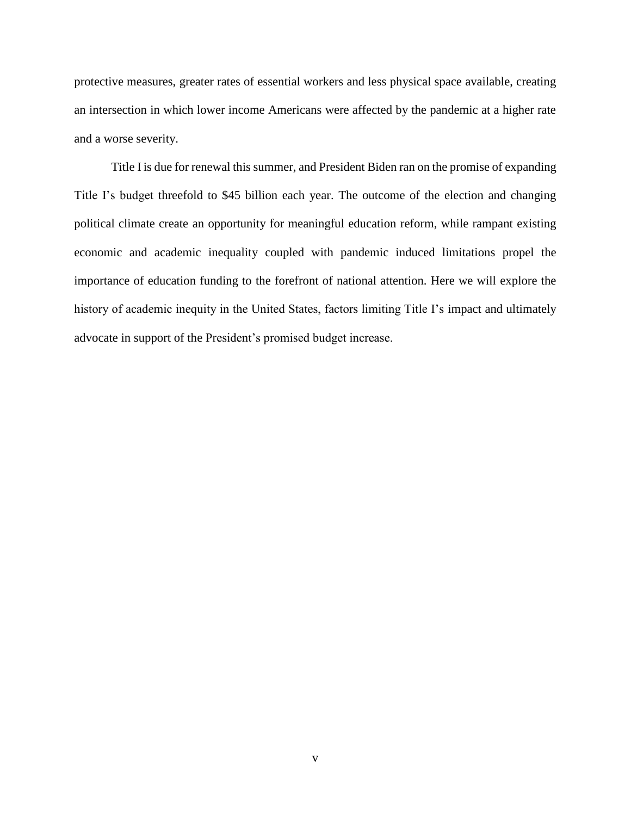protective measures, greater rates of essential workers and less physical space available, creating an intersection in which lower income Americans were affected by the pandemic at a higher rate and a worse severity.

Title I is due for renewal this summer, and President Biden ran on the promise of expanding Title I's budget threefold to \$45 billion each year. The outcome of the election and changing political climate create an opportunity for meaningful education reform, while rampant existing economic and academic inequality coupled with pandemic induced limitations propel the importance of education funding to the forefront of national attention. Here we will explore the history of academic inequity in the United States, factors limiting Title I's impact and ultimately advocate in support of the President's promised budget increase.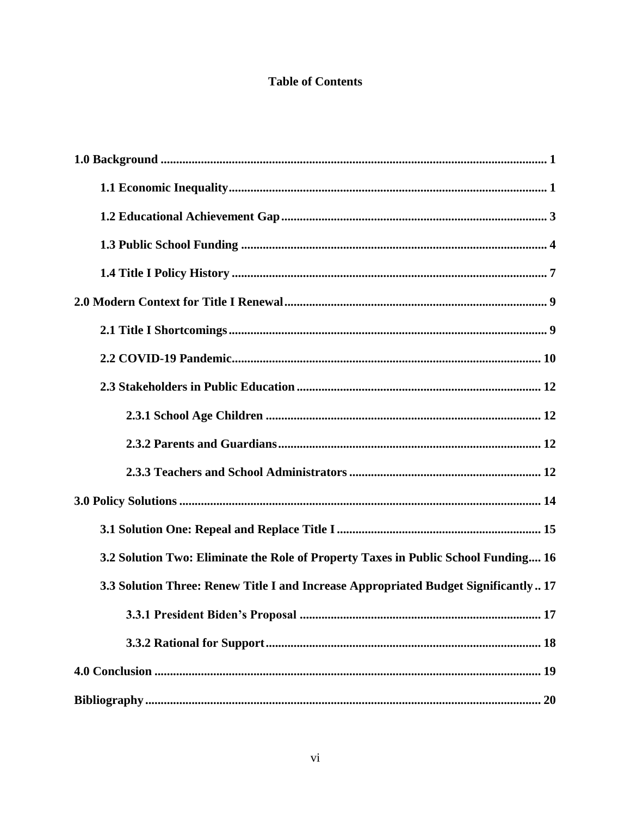# **Table of Contents**

| 3.2 Solution Two: Eliminate the Role of Property Taxes in Public School Funding 16  |
|-------------------------------------------------------------------------------------|
| 3.3 Solution Three: Renew Title I and Increase Appropriated Budget Significantly 17 |
|                                                                                     |
|                                                                                     |
|                                                                                     |
|                                                                                     |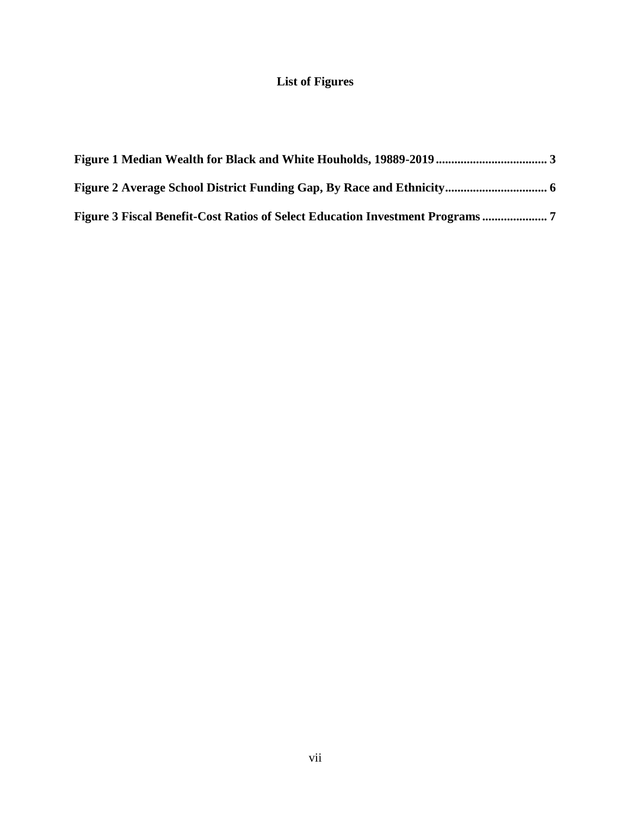# **List of Figures**

| Figure 3 Fiscal Benefit-Cost Ratios of Select Education Investment Programs |  |
|-----------------------------------------------------------------------------|--|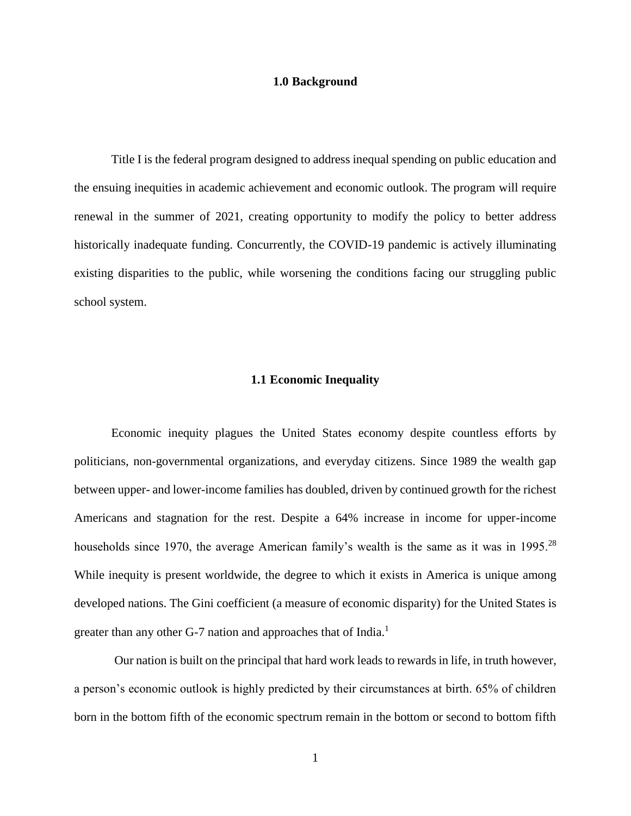#### **1.0 Background**

<span id="page-7-0"></span>Title I is the federal program designed to address inequal spending on public education and the ensuing inequities in academic achievement and economic outlook. The program will require renewal in the summer of 2021, creating opportunity to modify the policy to better address historically inadequate funding. Concurrently, the COVID-19 pandemic is actively illuminating existing disparities to the public, while worsening the conditions facing our struggling public school system.

#### **1.1 Economic Inequality**

<span id="page-7-1"></span>Economic inequity plagues the United States economy despite countless efforts by politicians, non-governmental organizations, and everyday citizens. Since 1989 the wealth gap between upper- and lower-income families has doubled, driven by continued growth for the richest Americans and stagnation for the rest. Despite a 64% increase in income for upper-income households since 1970, the average American family's wealth is the same as it was in 1995.<sup>28</sup> While inequity is present worldwide, the degree to which it exists in America is unique among developed nations. The Gini coefficient (a measure of economic disparity) for the United States is greater than any other G-7 nation and approaches that of India.<sup>1</sup>

Our nation is built on the principal that hard work leads to rewards in life, in truth however, a person's economic outlook is highly predicted by their circumstances at birth. 65% of children born in the bottom fifth of the economic spectrum remain in the bottom or second to bottom fifth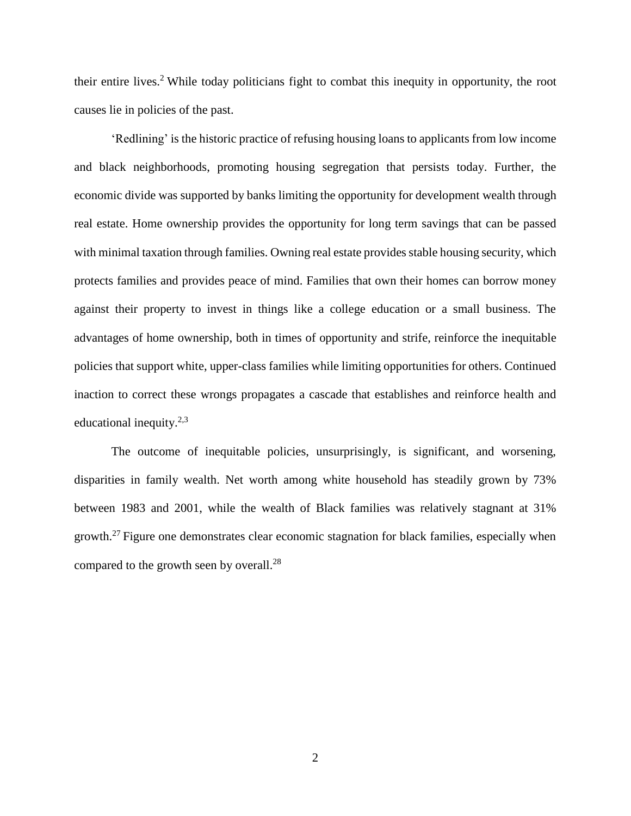their entire lives.<sup>2</sup>While today politicians fight to combat this inequity in opportunity, the root causes lie in policies of the past.

'Redlining' is the historic practice of refusing housing loans to applicants from low income and black neighborhoods, promoting housing segregation that persists today. Further, the economic divide was supported by banks limiting the opportunity for development wealth through real estate. Home ownership provides the opportunity for long term savings that can be passed with minimal taxation through families. Owning real estate provides stable housing security, which protects families and provides peace of mind. Families that own their homes can borrow money against their property to invest in things like a college education or a small business. The advantages of home ownership, both in times of opportunity and strife, reinforce the inequitable policies that support white, upper-class families while limiting opportunities for others. Continued inaction to correct these wrongs propagates a cascade that establishes and reinforce health and educational inequity.<sup>2,3</sup>

The outcome of inequitable policies, unsurprisingly, is significant, and worsening, disparities in family wealth. Net worth among white household has steadily grown by 73% between 1983 and 2001, while the wealth of Black families was relatively stagnant at 31% growth.<sup>27</sup> Figure one demonstrates clear economic stagnation for black families, especially when compared to the growth seen by overall.<sup>28</sup>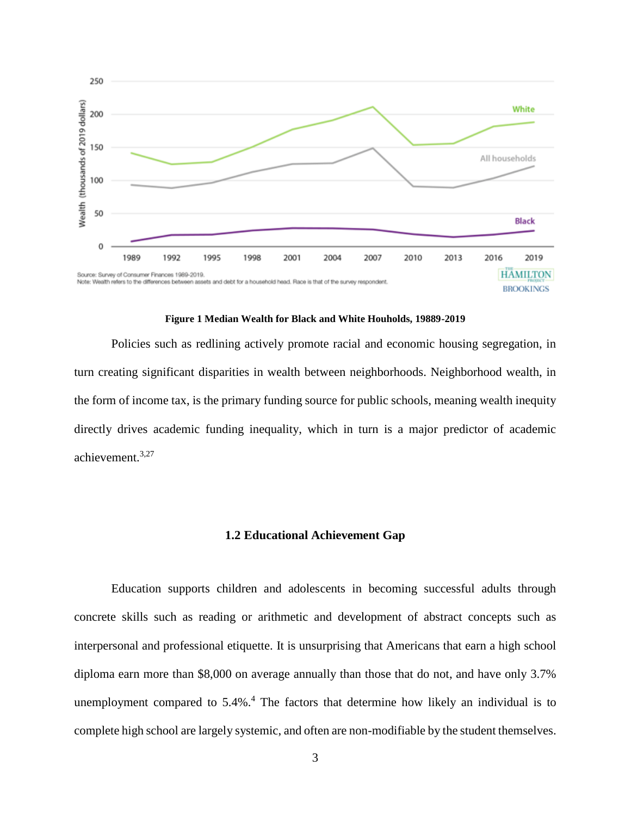

**Figure 1 Median Wealth for Black and White Houholds, 19889-2019**

<span id="page-9-1"></span>Policies such as redlining actively promote racial and economic housing segregation, in turn creating significant disparities in wealth between neighborhoods. Neighborhood wealth, in the form of income tax, is the primary funding source for public schools, meaning wealth inequity directly drives academic funding inequality, which in turn is a major predictor of academic achievement.3,27

#### **1.2 Educational Achievement Gap**

<span id="page-9-0"></span>Education supports children and adolescents in becoming successful adults through concrete skills such as reading or arithmetic and development of abstract concepts such as interpersonal and professional etiquette. It is unsurprising that Americans that earn a high school diploma earn more than \$8,000 on average annually than those that do not, and have only 3.7% unemployment compared to 5.4%.<sup>4</sup> The factors that determine how likely an individual is to complete high school are largely systemic, and often are non-modifiable by the student themselves.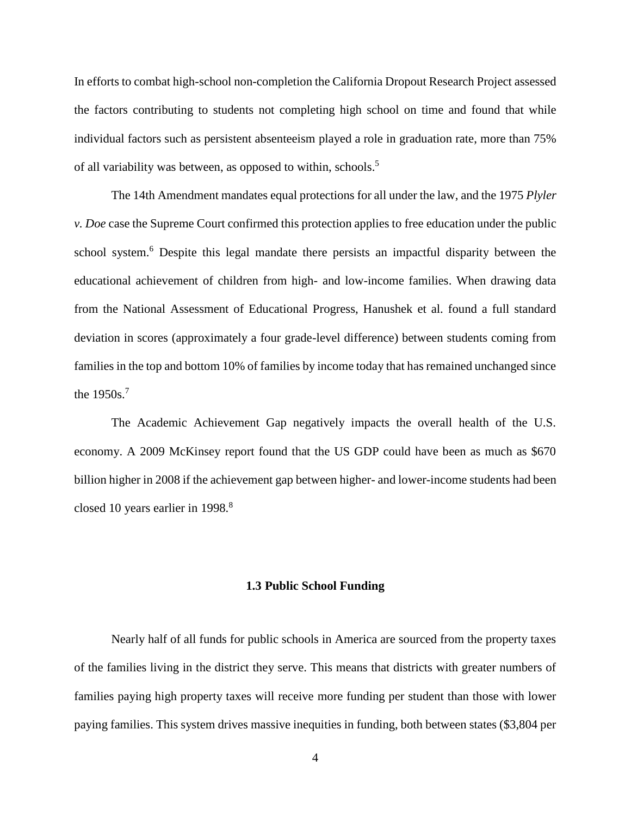In efforts to combat high-school non-completion the California Dropout Research Project assessed the factors contributing to students not completing high school on time and found that while individual factors such as persistent absenteeism played a role in graduation rate, more than 75% of all variability was between, as opposed to within, schools. 5

The 14th Amendment mandates equal protections for all under the law, and the 1975 *Plyler v. Doe* case the Supreme Court confirmed this protection applies to free education under the public school system.<sup>6</sup> Despite this legal mandate there persists an impactful disparity between the educational achievement of children from high- and low-income families. When drawing data from the National Assessment of Educational Progress, Hanushek et al. found a full standard deviation in scores (approximately a four grade-level difference) between students coming from families in the top and bottom 10% of families by income today that has remained unchanged since the 1950s.<sup>7</sup>

The Academic Achievement Gap negatively impacts the overall health of the U.S. economy. A 2009 McKinsey report found that the US GDP could have been as much as \$670 billion higher in 2008 if the achievement gap between higher- and lower-income students had been closed 10 years earlier in 1998.<sup>8</sup>

#### **1.3 Public School Funding**

<span id="page-10-0"></span>Nearly half of all funds for public schools in America are sourced from the property taxes of the families living in the district they serve. This means that districts with greater numbers of families paying high property taxes will receive more funding per student than those with lower paying families. This system drives massive inequities in funding, both between states (\$3,804 per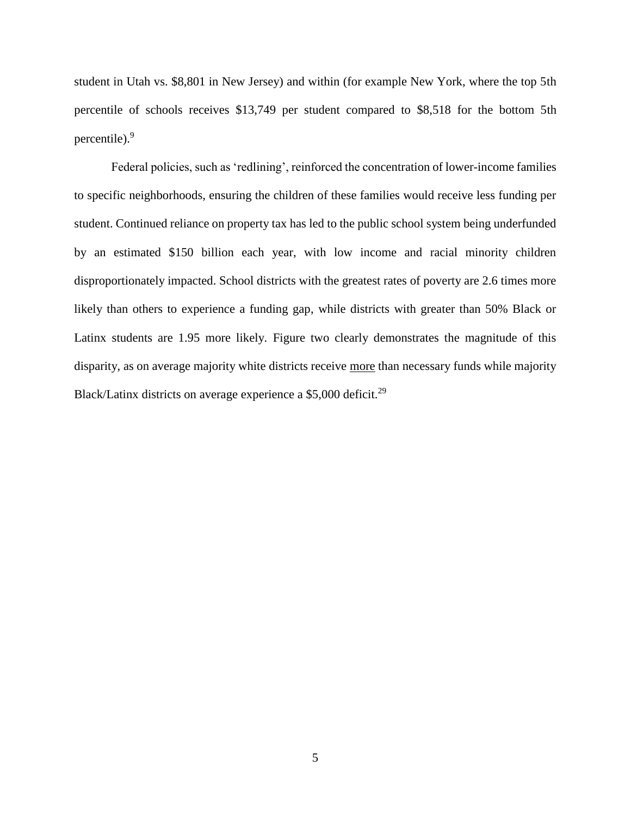student in Utah vs. \$8,801 in New Jersey) and within (for example New York, where the top 5th percentile of schools receives \$13,749 per student compared to \$8,518 for the bottom 5th percentile).<sup>9</sup>

Federal policies, such as 'redlining', reinforced the concentration of lower-income families to specific neighborhoods, ensuring the children of these families would receive less funding per student. Continued reliance on property tax has led to the public school system being underfunded by an estimated \$150 billion each year, with low income and racial minority children disproportionately impacted. School districts with the greatest rates of poverty are 2.6 times more likely than others to experience a funding gap, while districts with greater than 50% Black or Latinx students are 1.95 more likely. Figure two clearly demonstrates the magnitude of this disparity, as on average majority white districts receive more than necessary funds while majority Black/Latinx districts on average experience a  $$5,000$  deficit.<sup>29</sup>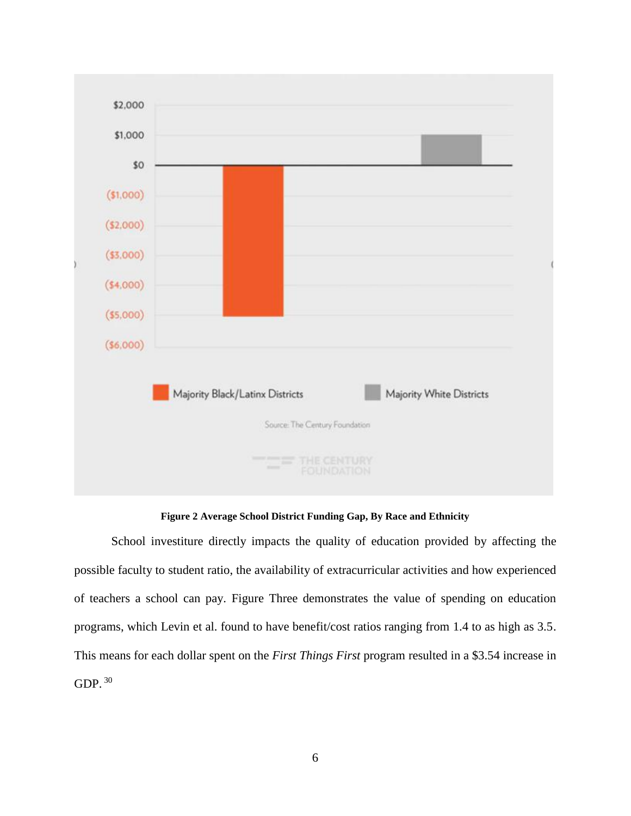

**Figure 2 Average School District Funding Gap, By Race and Ethnicity**

<span id="page-12-0"></span>School investiture directly impacts the quality of education provided by affecting the possible faculty to student ratio, the availability of extracurricular activities and how experienced of teachers a school can pay. Figure Three demonstrates the value of spending on education programs, which Levin et al. found to have benefit/cost ratios ranging from 1.4 to as high as 3.5. This means for each dollar spent on the *First Things First* program resulted in a \$3.54 increase in GDP. <sup>30</sup>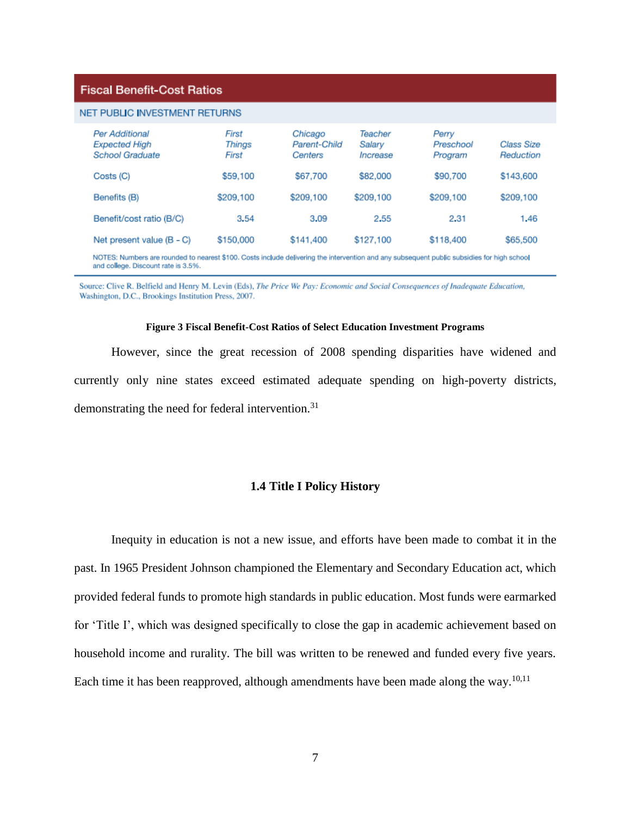#### **Fiscal Benefit-Cost Ratios**

| NET PUBLIC INVESTMENT RETURNS                                                                                                                                                     |                          |                                    |                               |                               |                         |  |
|-----------------------------------------------------------------------------------------------------------------------------------------------------------------------------------|--------------------------|------------------------------------|-------------------------------|-------------------------------|-------------------------|--|
| Per Additional<br><b>Expected High</b><br><b>School Graduate</b>                                                                                                                  | First<br>Things<br>First | Chicago<br>Parent-Child<br>Centers | Teacher<br>Salary<br>Increase | Perry<br>Preschool<br>Program | Class Size<br>Reduction |  |
| Costs (C)                                                                                                                                                                         | \$59,100                 | \$67,700                           | \$82,000                      | \$90,700                      | \$143,600               |  |
| Benefits (B)                                                                                                                                                                      | \$209,100                | \$209,100                          | \$209,100                     | \$209,100                     | \$209,100               |  |
| Benefit/cost ratio (B/C)                                                                                                                                                          | 3.54                     | 3.09                               | 2.55                          | 2.31                          | 1.46                    |  |
| Net present value (B - C)                                                                                                                                                         | \$150,000                | \$141,400                          | \$127,100                     | \$118,400                     | \$65,500                |  |
| NOTES: Numbers are rounded to nearest \$100. Costs include delivering the intervention and any subsequent public subsidies for high school<br>and college. Discount rate is 3.5%. |                          |                                    |                               |                               |                         |  |

Source: Clive R. Belfield and Henry M. Levin (Eds), The Price We Pay: Economic and Social Consequences of Inadequate Education,

Washington, D.C., Brookings Institution Press, 2007.

#### **Figure 3 Fiscal Benefit-Cost Ratios of Select Education Investment Programs**

<span id="page-13-1"></span><span id="page-13-0"></span>However, since the great recession of 2008 spending disparities have widened and currently only nine states exceed estimated adequate spending on high-poverty districts, demonstrating the need for federal intervention.<sup>31</sup>

#### **1.4 Title I Policy History**

Inequity in education is not a new issue, and efforts have been made to combat it in the past. In 1965 President Johnson championed the Elementary and Secondary Education act, which provided federal funds to promote high standards in public education. Most funds were earmarked for 'Title I', which was designed specifically to close the gap in academic achievement based on household income and rurality. The bill was written to be renewed and funded every five years. Each time it has been reapproved, although amendments have been made along the way. $10,11$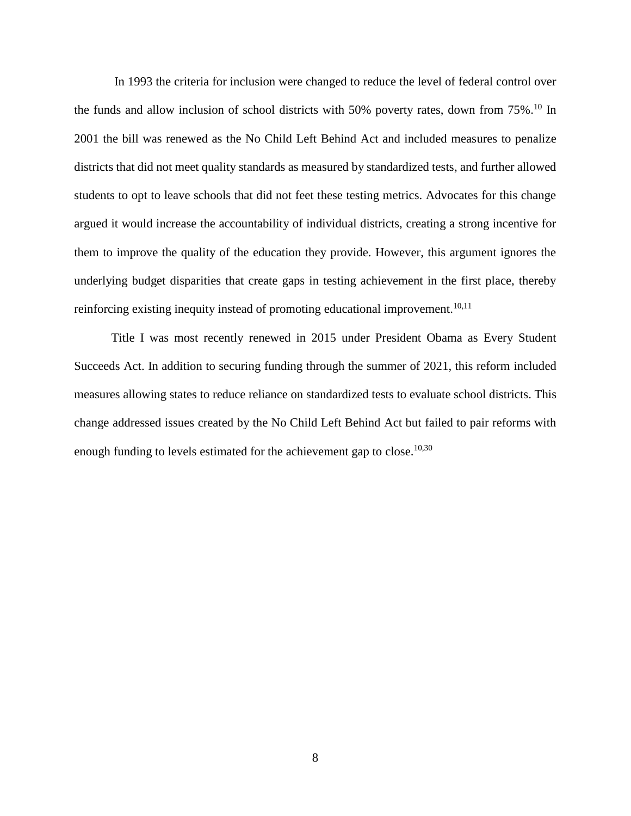In 1993 the criteria for inclusion were changed to reduce the level of federal control over the funds and allow inclusion of school districts with 50% poverty rates, down from 75%.<sup>10</sup> In 2001 the bill was renewed as the No Child Left Behind Act and included measures to penalize districts that did not meet quality standards as measured by standardized tests, and further allowed students to opt to leave schools that did not feet these testing metrics. Advocates for this change argued it would increase the accountability of individual districts, creating a strong incentive for them to improve the quality of the education they provide. However, this argument ignores the underlying budget disparities that create gaps in testing achievement in the first place, thereby reinforcing existing inequity instead of promoting educational improvement.<sup>10,11</sup>

Title I was most recently renewed in 2015 under President Obama as Every Student Succeeds Act. In addition to securing funding through the summer of 2021, this reform included measures allowing states to reduce reliance on standardized tests to evaluate school districts. This change addressed issues created by the No Child Left Behind Act but failed to pair reforms with enough funding to levels estimated for the achievement gap to close.<sup>10,30</sup>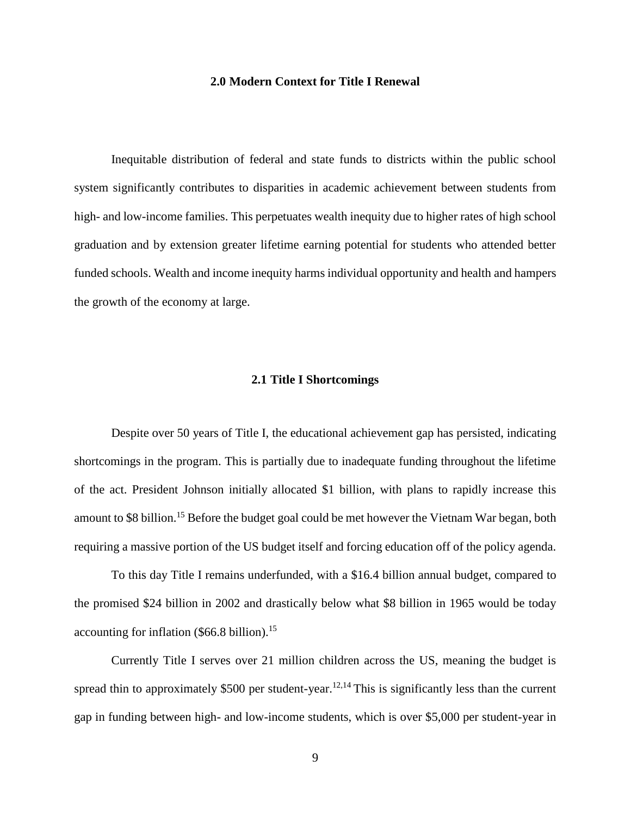#### **2.0 Modern Context for Title I Renewal**

<span id="page-15-0"></span>Inequitable distribution of federal and state funds to districts within the public school system significantly contributes to disparities in academic achievement between students from high- and low-income families. This perpetuates wealth inequity due to higher rates of high school graduation and by extension greater lifetime earning potential for students who attended better funded schools. Wealth and income inequity harms individual opportunity and health and hampers the growth of the economy at large.

#### **2.1 Title I Shortcomings**

<span id="page-15-1"></span>Despite over 50 years of Title I, the educational achievement gap has persisted, indicating shortcomings in the program. This is partially due to inadequate funding throughout the lifetime of the act. President Johnson initially allocated \$1 billion, with plans to rapidly increase this amount to \$8 billion.<sup>15</sup> Before the budget goal could be met however the Vietnam War began, both requiring a massive portion of the US budget itself and forcing education off of the policy agenda.

To this day Title I remains underfunded, with a \$16.4 billion annual budget, compared to the promised \$24 billion in 2002 and drastically below what \$8 billion in 1965 would be today accounting for inflation  $(\$66.8$  billion).<sup>15</sup>

Currently Title I serves over 21 million children across the US, meaning the budget is spread thin to approximately \$500 per student-year.<sup>12,14</sup> This is significantly less than the current gap in funding between high- and low-income students, which is over \$5,000 per student-year in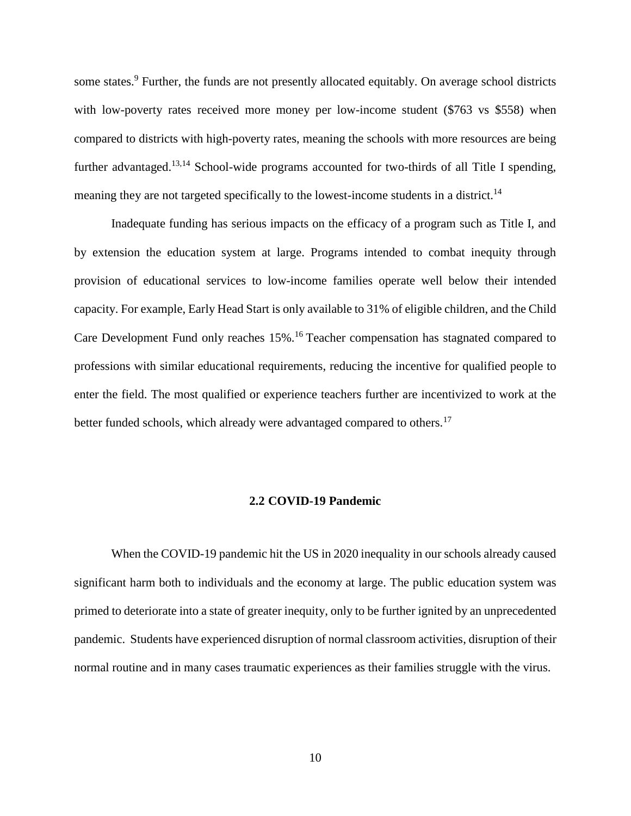some states.<sup>9</sup> Further, the funds are not presently allocated equitably. On average school districts with low-poverty rates received more money per low-income student (\$763 vs \$558) when compared to districts with high-poverty rates, meaning the schools with more resources are being further advantaged.<sup>13,14</sup> School-wide programs accounted for two-thirds of all Title I spending, meaning they are not targeted specifically to the lowest-income students in a district.<sup>14</sup>

Inadequate funding has serious impacts on the efficacy of a program such as Title I, and by extension the education system at large. Programs intended to combat inequity through provision of educational services to low-income families operate well below their intended capacity. For example, Early Head Start is only available to 31% of eligible children, and the Child Care Development Fund only reaches 15%.<sup>16</sup> Teacher compensation has stagnated compared to professions with similar educational requirements, reducing the incentive for qualified people to enter the field. The most qualified or experience teachers further are incentivized to work at the better funded schools, which already were advantaged compared to others.<sup>17</sup>

#### **2.2 COVID-19 Pandemic**

<span id="page-16-0"></span>When the COVID-19 pandemic hit the US in 2020 inequality in our schools already caused significant harm both to individuals and the economy at large. The public education system was primed to deteriorate into a state of greater inequity, only to be further ignited by an unprecedented pandemic. Students have experienced disruption of normal classroom activities, disruption of their normal routine and in many cases traumatic experiences as their families struggle with the virus.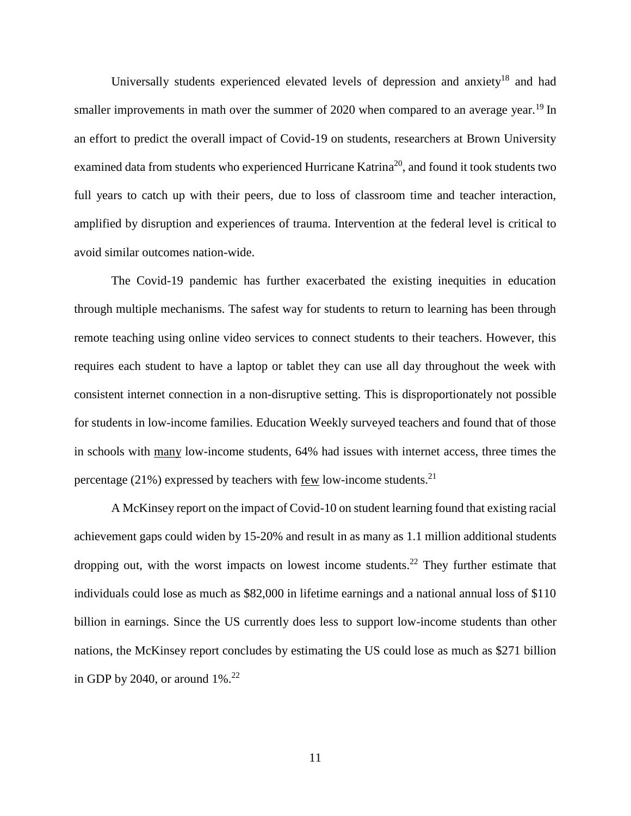Universally students experienced elevated levels of depression and anxiety<sup>18</sup> and had smaller improvements in math over the summer of 2020 when compared to an average year.<sup>19</sup> In an effort to predict the overall impact of Covid-19 on students, researchers at Brown University examined data from students who experienced Hurricane Katrina<sup>20</sup>, and found it took students two full years to catch up with their peers, due to loss of classroom time and teacher interaction, amplified by disruption and experiences of trauma. Intervention at the federal level is critical to avoid similar outcomes nation-wide.

The Covid-19 pandemic has further exacerbated the existing inequities in education through multiple mechanisms. The safest way for students to return to learning has been through remote teaching using online video services to connect students to their teachers. However, this requires each student to have a laptop or tablet they can use all day throughout the week with consistent internet connection in a non-disruptive setting. This is disproportionately not possible for students in low-income families. Education Weekly surveyed teachers and found that of those in schools with many low-income students, 64% had issues with internet access, three times the percentage  $(21\%)$  expressed by teachers with few low-income students.<sup>21</sup>

A McKinsey report on the impact of Covid-10 on student learning found that existing racial achievement gaps could widen by 15-20% and result in as many as 1.1 million additional students dropping out, with the worst impacts on lowest income students.<sup>22</sup> They further estimate that individuals could lose as much as \$82,000 in lifetime earnings and a national annual loss of \$110 billion in earnings. Since the US currently does less to support low-income students than other nations, the McKinsey report concludes by estimating the US could lose as much as \$271 billion in GDP by 2040, or around  $1\%$ .<sup>22</sup>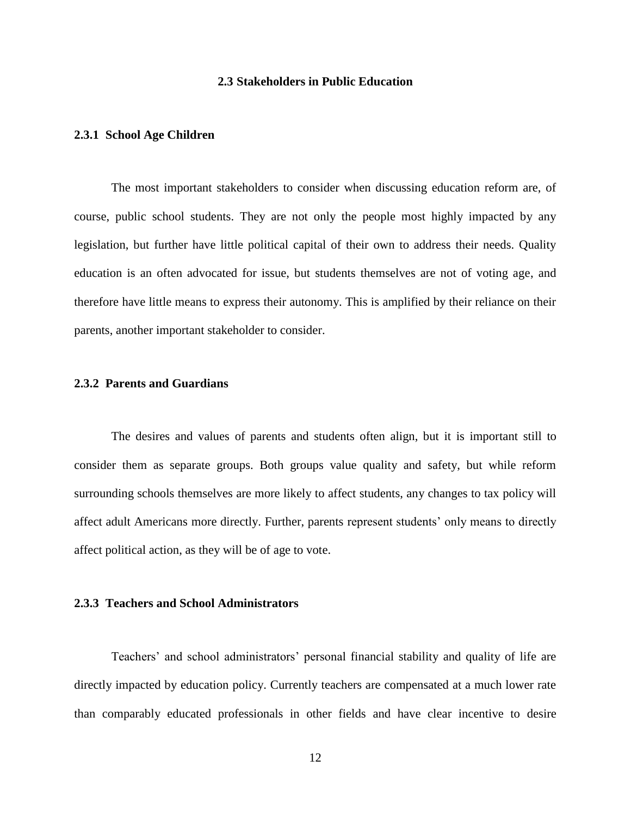#### **2.3 Stakeholders in Public Education**

#### <span id="page-18-1"></span><span id="page-18-0"></span>**2.3.1 School Age Children**

The most important stakeholders to consider when discussing education reform are, of course, public school students. They are not only the people most highly impacted by any legislation, but further have little political capital of their own to address their needs. Quality education is an often advocated for issue, but students themselves are not of voting age, and therefore have little means to express their autonomy. This is amplified by their reliance on their parents, another important stakeholder to consider.

#### <span id="page-18-2"></span>**2.3.2 Parents and Guardians**

The desires and values of parents and students often align, but it is important still to consider them as separate groups. Both groups value quality and safety, but while reform surrounding schools themselves are more likely to affect students, any changes to tax policy will affect adult Americans more directly. Further, parents represent students' only means to directly affect political action, as they will be of age to vote.

# <span id="page-18-3"></span>**2.3.3 Teachers and School Administrators**

Teachers' and school administrators' personal financial stability and quality of life are directly impacted by education policy. Currently teachers are compensated at a much lower rate than comparably educated professionals in other fields and have clear incentive to desire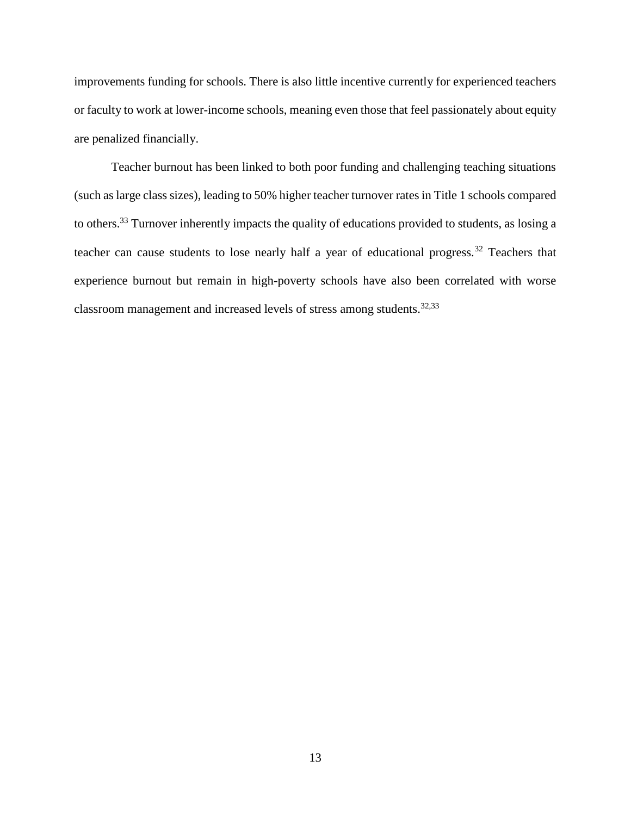improvements funding for schools. There is also little incentive currently for experienced teachers or faculty to work at lower-income schools, meaning even those that feel passionately about equity are penalized financially.

Teacher burnout has been linked to both poor funding and challenging teaching situations (such as large class sizes), leading to 50% higher teacher turnover rates in Title 1 schools compared to others.<sup>33</sup> Turnover inherently impacts the quality of educations provided to students, as losing a teacher can cause students to lose nearly half a year of educational progress.<sup>32</sup> Teachers that experience burnout but remain in high-poverty schools have also been correlated with worse classroom management and increased levels of stress among students.<sup>32,33</sup>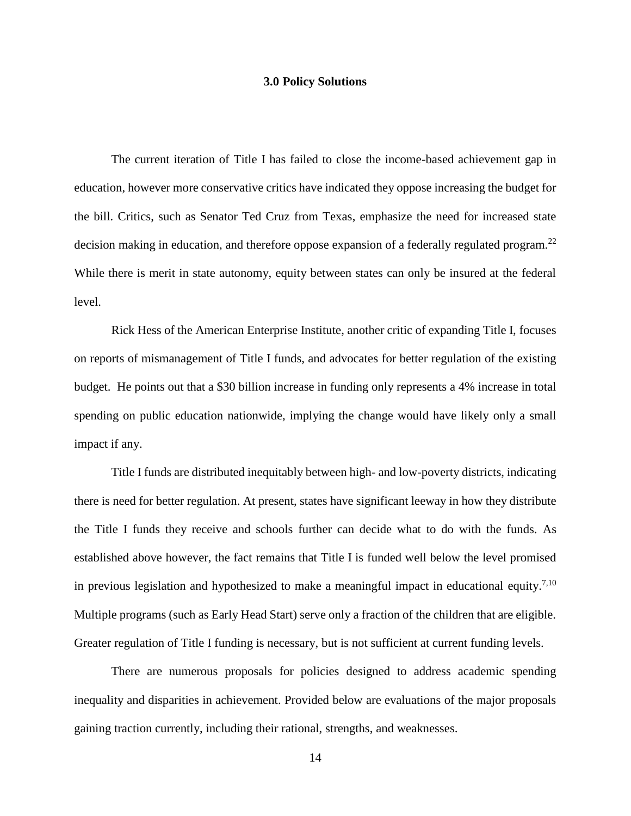#### **3.0 Policy Solutions**

<span id="page-20-0"></span>The current iteration of Title I has failed to close the income-based achievement gap in education, however more conservative critics have indicated they oppose increasing the budget for the bill. Critics, such as Senator Ted Cruz from Texas, emphasize the need for increased state decision making in education, and therefore oppose expansion of a federally regulated program.<sup>22</sup> While there is merit in state autonomy, equity between states can only be insured at the federal level.

Rick Hess of the American Enterprise Institute, another critic of expanding Title I, focuses on reports of mismanagement of Title I funds, and advocates for better regulation of the existing budget. He points out that a \$30 billion increase in funding only represents a 4% increase in total spending on public education nationwide, implying the change would have likely only a small impact if any.

Title I funds are distributed inequitably between high- and low-poverty districts, indicating there is need for better regulation. At present, states have significant leeway in how they distribute the Title I funds they receive and schools further can decide what to do with the funds. As established above however, the fact remains that Title I is funded well below the level promised in previous legislation and hypothesized to make a meaningful impact in educational equity.<sup>7,10</sup> Multiple programs (such as Early Head Start) serve only a fraction of the children that are eligible. Greater regulation of Title I funding is necessary, but is not sufficient at current funding levels.

There are numerous proposals for policies designed to address academic spending inequality and disparities in achievement. Provided below are evaluations of the major proposals gaining traction currently, including their rational, strengths, and weaknesses.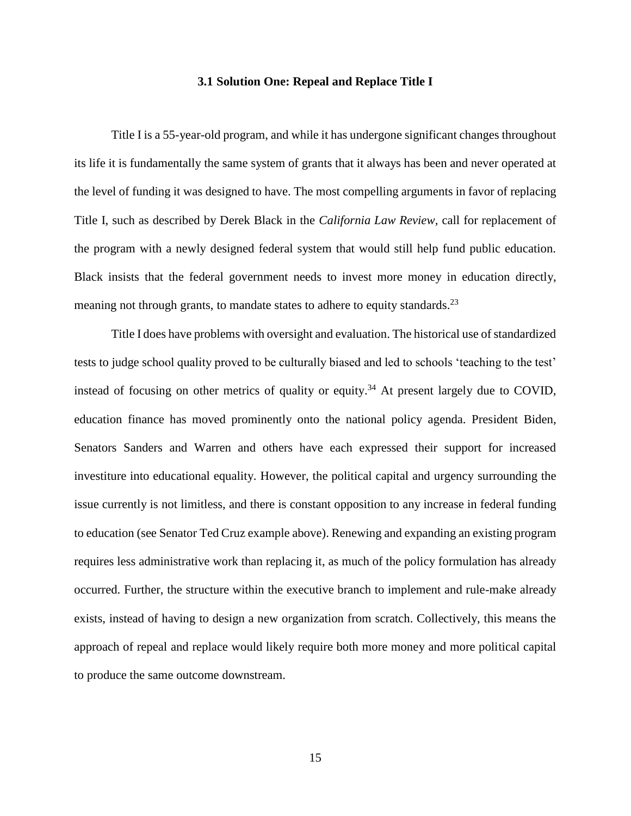#### **3.1 Solution One: Repeal and Replace Title I**

<span id="page-21-0"></span>Title I is a 55-year-old program, and while it has undergone significant changes throughout its life it is fundamentally the same system of grants that it always has been and never operated at the level of funding it was designed to have. The most compelling arguments in favor of replacing Title I, such as described by Derek Black in the *California Law Review,* call for replacement of the program with a newly designed federal system that would still help fund public education. Black insists that the federal government needs to invest more money in education directly, meaning not through grants, to mandate states to adhere to equity standards.<sup>23</sup>

Title I does have problems with oversight and evaluation. The historical use of standardized tests to judge school quality proved to be culturally biased and led to schools 'teaching to the test' instead of focusing on other metrics of quality or equity.<sup>34</sup> At present largely due to COVID, education finance has moved prominently onto the national policy agenda. President Biden, Senators Sanders and Warren and others have each expressed their support for increased investiture into educational equality. However, the political capital and urgency surrounding the issue currently is not limitless, and there is constant opposition to any increase in federal funding to education (see Senator Ted Cruz example above). Renewing and expanding an existing program requires less administrative work than replacing it, as much of the policy formulation has already occurred. Further, the structure within the executive branch to implement and rule-make already exists, instead of having to design a new organization from scratch. Collectively, this means the approach of repeal and replace would likely require both more money and more political capital to produce the same outcome downstream.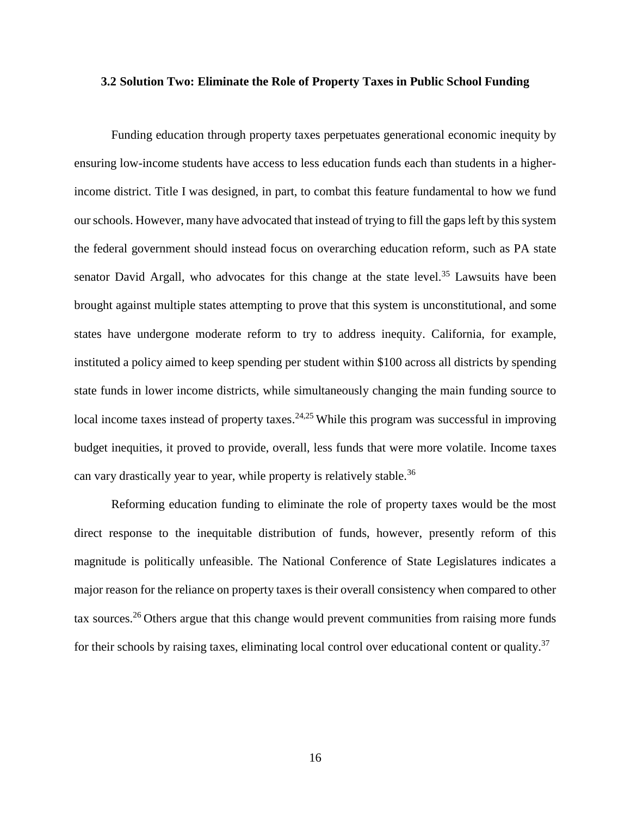#### <span id="page-22-0"></span>**3.2 Solution Two: Eliminate the Role of Property Taxes in Public School Funding**

Funding education through property taxes perpetuates generational economic inequity by ensuring low-income students have access to less education funds each than students in a higherincome district. Title I was designed, in part, to combat this feature fundamental to how we fund our schools. However, many have advocated that instead of trying to fill the gaps left by this system the federal government should instead focus on overarching education reform, such as PA state senator David Argall, who advocates for this change at the state level.<sup>35</sup> Lawsuits have been brought against multiple states attempting to prove that this system is unconstitutional, and some states have undergone moderate reform to try to address inequity. California, for example, instituted a policy aimed to keep spending per student within \$100 across all districts by spending state funds in lower income districts, while simultaneously changing the main funding source to local income taxes instead of property taxes.<sup>24,25</sup> While this program was successful in improving budget inequities, it proved to provide, overall, less funds that were more volatile. Income taxes can vary drastically year to year, while property is relatively stable.<sup>36</sup>

Reforming education funding to eliminate the role of property taxes would be the most direct response to the inequitable distribution of funds, however, presently reform of this magnitude is politically unfeasible. The National Conference of State Legislatures indicates a major reason for the reliance on property taxes is their overall consistency when compared to other tax sources.<sup>26</sup> Others argue that this change would prevent communities from raising more funds for their schools by raising taxes, eliminating local control over educational content or quality.<sup>37</sup>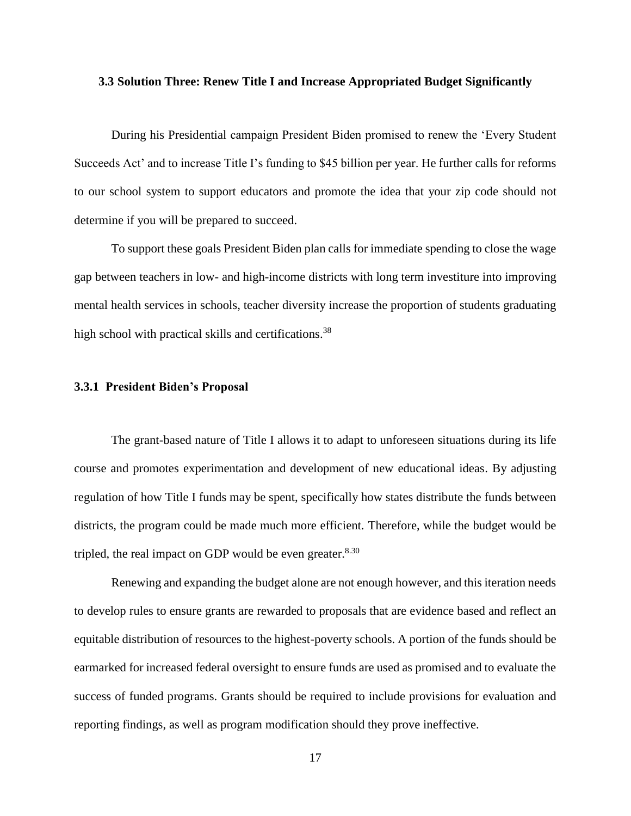#### <span id="page-23-0"></span>**3.3 Solution Three: Renew Title I and Increase Appropriated Budget Significantly**

During his Presidential campaign President Biden promised to renew the 'Every Student Succeeds Act' and to increase Title I's funding to \$45 billion per year. He further calls for reforms to our school system to support educators and promote the idea that your zip code should not determine if you will be prepared to succeed.

To support these goals President Biden plan calls for immediate spending to close the wage gap between teachers in low- and high-income districts with long term investiture into improving mental health services in schools, teacher diversity increase the proportion of students graduating high school with practical skills and certifications.<sup>38</sup>

#### <span id="page-23-1"></span>**3.3.1 President Biden's Proposal**

The grant-based nature of Title I allows it to adapt to unforeseen situations during its life course and promotes experimentation and development of new educational ideas. By adjusting regulation of how Title I funds may be spent, specifically how states distribute the funds between districts, the program could be made much more efficient. Therefore, while the budget would be tripled, the real impact on GDP would be even greater. $8.30$ 

Renewing and expanding the budget alone are not enough however, and this iteration needs to develop rules to ensure grants are rewarded to proposals that are evidence based and reflect an equitable distribution of resources to the highest-poverty schools. A portion of the funds should be earmarked for increased federal oversight to ensure funds are used as promised and to evaluate the success of funded programs. Grants should be required to include provisions for evaluation and reporting findings, as well as program modification should they prove ineffective.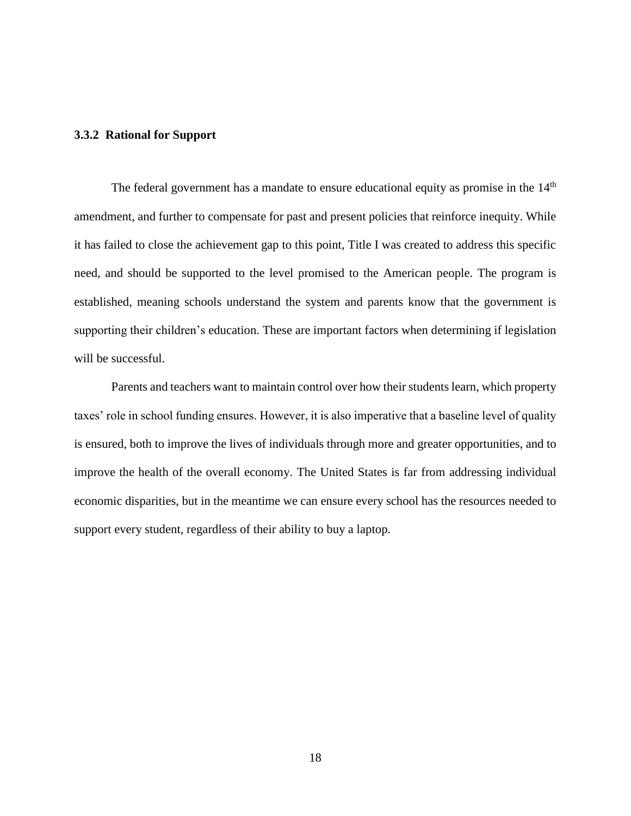#### <span id="page-24-0"></span>**3.3.2 Rational for Support**

The federal government has a mandate to ensure educational equity as promise in the  $14<sup>th</sup>$ amendment, and further to compensate for past and present policies that reinforce inequity. While it has failed to close the achievement gap to this point, Title I was created to address this specific need, and should be supported to the level promised to the American people. The program is established, meaning schools understand the system and parents know that the government is supporting their children's education. These are important factors when determining if legislation will be successful.

Parents and teachers want to maintain control over how their students learn, which property taxes' role in school funding ensures. However, it is also imperative that a baseline level of quality is ensured, both to improve the lives of individuals through more and greater opportunities, and to improve the health of the overall economy. The United States is far from addressing individual economic disparities, but in the meantime we can ensure every school has the resources needed to support every student, regardless of their ability to buy a laptop.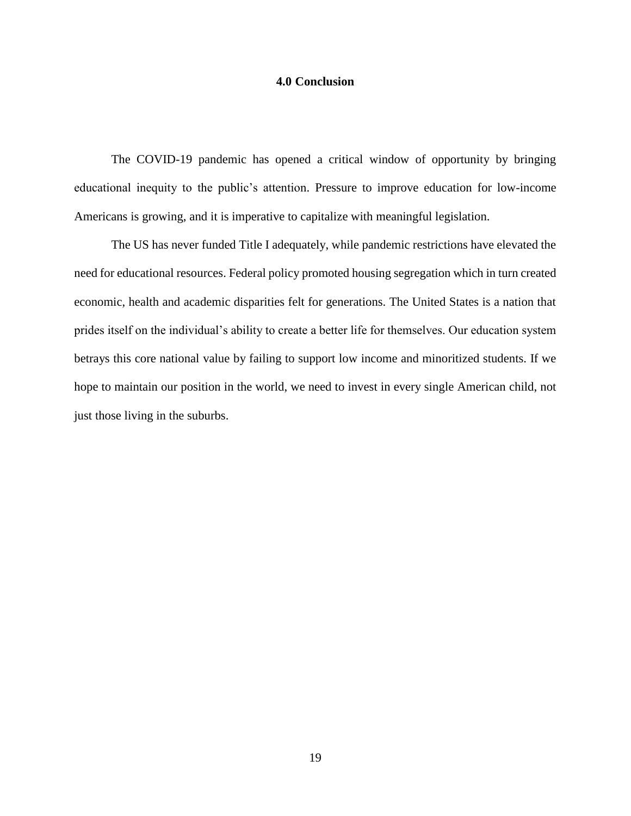## **4.0 Conclusion**

<span id="page-25-0"></span>The COVID-19 pandemic has opened a critical window of opportunity by bringing educational inequity to the public's attention. Pressure to improve education for low-income Americans is growing, and it is imperative to capitalize with meaningful legislation.

The US has never funded Title I adequately, while pandemic restrictions have elevated the need for educational resources. Federal policy promoted housing segregation which in turn created economic, health and academic disparities felt for generations. The United States is a nation that prides itself on the individual's ability to create a better life for themselves. Our education system betrays this core national value by failing to support low income and minoritized students. If we hope to maintain our position in the world, we need to invest in every single American child, not just those living in the suburbs.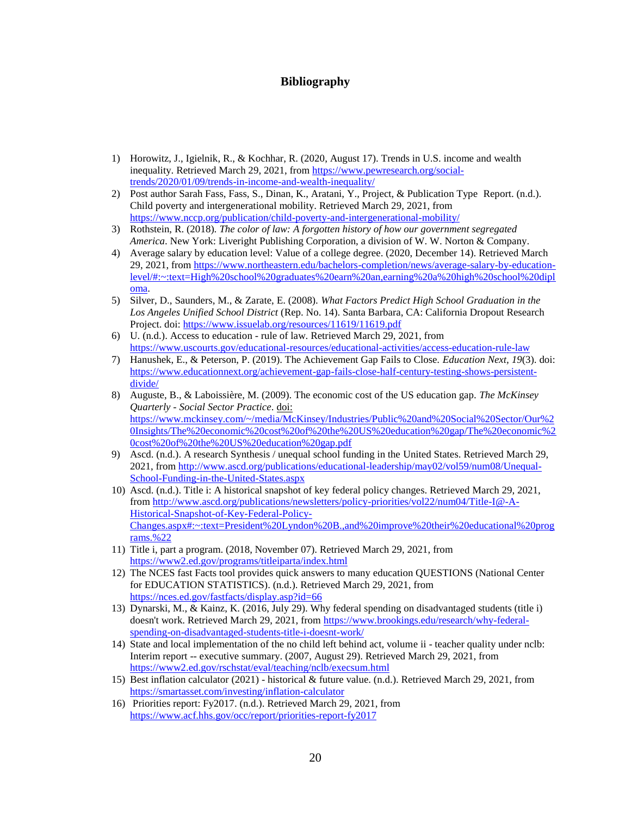## **Bibliography**

- <span id="page-26-0"></span>1) Horowitz, J., Igielnik, R., & Kochhar, R. (2020, August 17). Trends in U.S. income and wealth inequality. Retrieved March 29, 2021, from [https://www.pewresearch.org/social](https://www.pewresearch.org/social-trends/2020/01/09/trends-in-income-and-wealth-inequality/)[trends/2020/01/09/trends-in-income-and-wealth-inequality/](https://www.pewresearch.org/social-trends/2020/01/09/trends-in-income-and-wealth-inequality/)
- 2) Post author Sarah Fass, Fass, S., Dinan, K., Aratani, Y., Project, & Publication Type Report. (n.d.). Child poverty and intergenerational mobility. Retrieved March 29, 2021, from <https://www.nccp.org/publication/child-poverty-and-intergenerational-mobility/>
- 3) Rothstein, R. (2018). *The color of law: A forgotten history of how our government segregated America*. New York: Liveright Publishing Corporation, a division of W. W. Norton & Company.
- 4) Average salary by education level: Value of a college degree. (2020, December 14). Retrieved March 29, 2021, from [https://www.northeastern.edu/bachelors-completion/news/average-salary-by-education](https://www.northeastern.edu/bachelors-completion/news/average-salary-by-education-level/#:~:text=High%20school%20graduates%20earn%20an,earning%20a%20high%20school%20diploma)[level/#:~:text=High%20school%20graduates%20earn%20an,earning%20a%20high%20school%20dipl](https://www.northeastern.edu/bachelors-completion/news/average-salary-by-education-level/#:~:text=High%20school%20graduates%20earn%20an,earning%20a%20high%20school%20diploma) [oma.](https://www.northeastern.edu/bachelors-completion/news/average-salary-by-education-level/#:~:text=High%20school%20graduates%20earn%20an,earning%20a%20high%20school%20diploma)
- 5) Silver, D., Saunders, M., & Zarate, E. (2008). *What Factors Predict High School Graduation in the Los Angeles Unified School District* (Rep. No. 14). Santa Barbara, CA: California Dropout Research Project. doi: <https://www.issuelab.org/resources/11619/11619.pdf>
- 6) U. (n.d.). Access to education rule of law. Retrieved March 29, 2021, from <https://www.uscourts.gov/educational-resources/educational-activities/access-education-rule-law>
- 7) Hanushek, E., & Peterson, P. (2019). The Achievement Gap Fails to Close. *Education Next, 19*(3). doi: [https://www.educationnext.org/achievement-gap-fails-close-half-century-testing-shows-persistent](https://www.educationnext.org/achievement-gap-fails-close-half-century-testing-shows-persistent-divide/)[divide/](https://www.educationnext.org/achievement-gap-fails-close-half-century-testing-shows-persistent-divide/)
- 8) Auguste, B., & Laboissière, M. (2009). The economic cost of the US education gap. *The McKinsey Quarterly - Social Sector Practice*. doi: [https://www.mckinsey.com/~/media/McKinsey/Industries/Public%20and%20Social%20Sector/Our%2](https://www.mckinsey.com/~/media/McKinsey/Industries/Public%20and%20Social%20Sector/Our%20Insights/The%20economic%20cost%20of%20the%20US%20education%20gap/The%20economic%20cost%20of%20the%20US%20education%20gap.pdf) [0Insights/The%20economic%20cost%20of%20the%20US%20education%20gap/The%20economic%2](https://www.mckinsey.com/~/media/McKinsey/Industries/Public%20and%20Social%20Sector/Our%20Insights/The%20economic%20cost%20of%20the%20US%20education%20gap/The%20economic%20cost%20of%20the%20US%20education%20gap.pdf) [0cost%20of%20the%20US%20education%20gap.pdf](https://www.mckinsey.com/~/media/McKinsey/Industries/Public%20and%20Social%20Sector/Our%20Insights/The%20economic%20cost%20of%20the%20US%20education%20gap/The%20economic%20cost%20of%20the%20US%20education%20gap.pdf)
- 9) Ascd. (n.d.). A research Synthesis / unequal school funding in the United States. Retrieved March 29, 2021, from [http://www.ascd.org/publications/educational-leadership/may02/vol59/num08/Unequal-](http://www.ascd.org/publications/educational-leadership/may02/vol59/num08/Unequal-School-Funding-in-the-United-States.aspx)[School-Funding-in-the-United-States.aspx](http://www.ascd.org/publications/educational-leadership/may02/vol59/num08/Unequal-School-Funding-in-the-United-States.aspx)
- 10) Ascd. (n.d.). Title i: A historical snapshot of key federal policy changes. Retrieved March 29, 2021, from [http://www.ascd.org/publications/newsletters/policy-priorities/vol22/num04/Title-I@-A-](http://www.ascd.org/publications/newsletters/policy-priorities/vol22/num04/Title-I@-A-Historical-Snapshot-of-Key-Federal-Policy-Changes.aspx#:~:text=President%20Lyndon%20B.,and%20improve%20their%20educational%20programs.%22)[Historical-Snapshot-of-Key-Federal-Policy-](http://www.ascd.org/publications/newsletters/policy-priorities/vol22/num04/Title-I@-A-Historical-Snapshot-of-Key-Federal-Policy-Changes.aspx#:~:text=President%20Lyndon%20B.,and%20improve%20their%20educational%20programs.%22)[Changes.aspx#:~:text=President%20Lyndon%20B.,and%20improve%20their%20educational%20prog](http://www.ascd.org/publications/newsletters/policy-priorities/vol22/num04/Title-I@-A-Historical-Snapshot-of-Key-Federal-Policy-Changes.aspx#:~:text=President%20Lyndon%20B.,and%20improve%20their%20educational%20programs.%22) [rams.%22](http://www.ascd.org/publications/newsletters/policy-priorities/vol22/num04/Title-I@-A-Historical-Snapshot-of-Key-Federal-Policy-Changes.aspx#:~:text=President%20Lyndon%20B.,and%20improve%20their%20educational%20programs.%22)
- 11) Title i, part a program. (2018, November 07). Retrieved March 29, 2021, from <https://www2.ed.gov/programs/titleiparta/index.html>
- 12) The NCES fast Facts tool provides quick answers to many education QUESTIONS (National Center for EDUCATION STATISTICS). (n.d.). Retrieved March 29, 2021, from <https://nces.ed.gov/fastfacts/display.asp?id=66>
- 13) Dynarski, M., & Kainz, K. (2016, July 29). Why federal spending on disadvantaged students (title i) doesn't work. Retrieved March 29, 2021, from [https://www.brookings.edu/research/why-federal](https://www.brookings.edu/research/why-federal-spending-on-disadvantaged-students-title-i-doesnt-work/)[spending-on-disadvantaged-students-title-i-doesnt-work/](https://www.brookings.edu/research/why-federal-spending-on-disadvantaged-students-title-i-doesnt-work/)
- 14) State and local implementation of the no child left behind act, volume ii teacher quality under nclb: Interim report -- executive summary. (2007, August 29). Retrieved March 29, 2021, from <https://www2.ed.gov/rschstat/eval/teaching/nclb/execsum.html>
- 15) Best inflation calculator (2021) historical & future value. (n.d.). Retrieved March 29, 2021, from <https://smartasset.com/investing/inflation-calculator>
- 16) Priorities report: Fy2017. (n.d.). Retrieved March 29, 2021, from <https://www.acf.hhs.gov/occ/report/priorities-report-fy2017>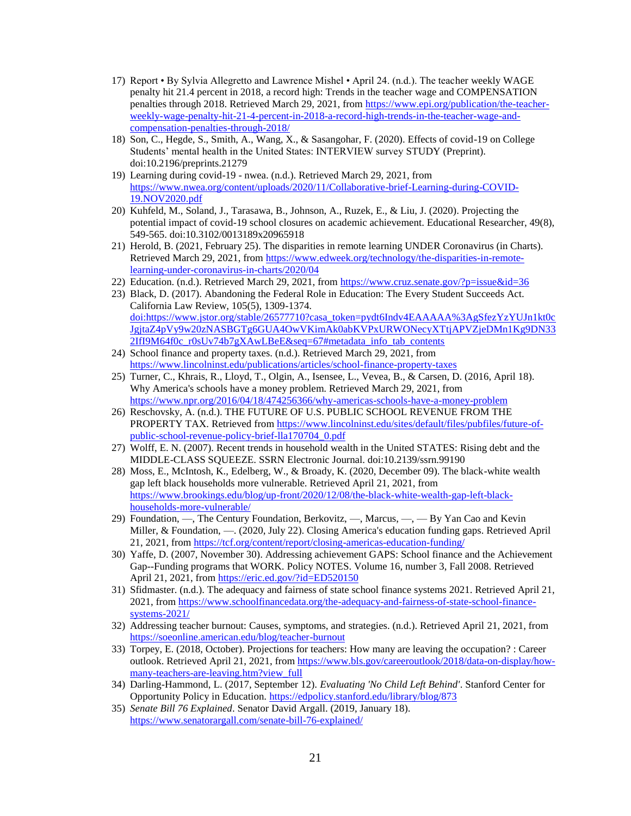- 17) Report By Sylvia Allegretto and Lawrence Mishel April 24. (n.d.). The teacher weekly WAGE penalty hit 21.4 percent in 2018, a record high: Trends in the teacher wage and COMPENSATION penalties through 2018. Retrieved March 29, 2021, from [https://www.epi.org/publication/the-teacher](https://www.epi.org/publication/the-teacher-weekly-wage-penalty-hit-21-4-percent-in-2018-a-record-high-trends-in-the-teacher-wage-and-compensation-penalties-through-2018/)[weekly-wage-penalty-hit-21-4-percent-in-2018-a-record-high-trends-in-the-teacher-wage-and](https://www.epi.org/publication/the-teacher-weekly-wage-penalty-hit-21-4-percent-in-2018-a-record-high-trends-in-the-teacher-wage-and-compensation-penalties-through-2018/)[compensation-penalties-through-2018/](https://www.epi.org/publication/the-teacher-weekly-wage-penalty-hit-21-4-percent-in-2018-a-record-high-trends-in-the-teacher-wage-and-compensation-penalties-through-2018/)
- 18) Son, C., Hegde, S., Smith, A., Wang, X., & Sasangohar, F. (2020). Effects of covid-19 on College Students' mental health in the United States: INTERVIEW survey STUDY (Preprint). doi:10.2196/preprints.21279
- 19) Learning during covid-19 nwea. (n.d.). Retrieved March 29, 2021, from [https://www.nwea.org/content/uploads/2020/11/Collaborative-brief-Learning-during-COVID-](https://www.nwea.org/content/uploads/2020/11/Collaborative-brief-Learning-during-COVID-19.NOV2020.pdf)[19.NOV2020.pdf](https://www.nwea.org/content/uploads/2020/11/Collaborative-brief-Learning-during-COVID-19.NOV2020.pdf)
- 20) Kuhfeld, M., Soland, J., Tarasawa, B., Johnson, A., Ruzek, E., & Liu, J. (2020). Projecting the potential impact of covid-19 school closures on academic achievement. Educational Researcher, 49(8), 549-565. doi:10.3102/0013189x20965918
- 21) Herold, B. (2021, February 25). The disparities in remote learning UNDER Coronavirus (in Charts). Retrieved March 29, 2021, from [https://www.edweek.org/technology/the-disparities-in-remote](https://www.edweek.org/technology/the-disparities-in-remote-learning-under-coronavirus-in-charts/2020/04)[learning-under-coronavirus-in-charts/2020/04](https://www.edweek.org/technology/the-disparities-in-remote-learning-under-coronavirus-in-charts/2020/04)
- 22) Education. (n.d.). Retrieved March 29, 2021, from<https://www.cruz.senate.gov/?p=issue&id=36>
- 23) Black, D. (2017). Abandoning the Federal Role in Education: The Every Student Succeeds Act. California Law Review, 105(5), 1309-1374. doi:https://www.jstor.org/stable/26577710?casa\_token=pydt6Indv4EAAAAA%3AgSfezYzYUJn1kt0c JgjtaZ4pVy9w20zNASBGTg6GUA4OwVKimAk0abKVPxURWONecyXTtjAPVZjeDMn1Kg9DN33 2IfI9M64f0c\_r0sUv74b7gXAwLBeE&seq=67#metadata\_info\_tab\_contents
- 24) School finance and property taxes. (n.d.). Retrieved March 29, 2021, from <https://www.lincolninst.edu/publications/articles/school-finance-property-taxes>
- 25) Turner, C., Khrais, R., Lloyd, T., Olgin, A., Isensee, L., Vevea, B., & Carsen, D. (2016, April 18). Why America's schools have a money problem. Retrieved March 29, 2021, from <https://www.npr.org/2016/04/18/474256366/why-americas-schools-have-a-money-problem>
- 26) Reschovsky, A. (n.d.). THE FUTURE OF U.S. PUBLIC SCHOOL REVENUE FROM THE PROPERTY TAX. Retrieved fro[m https://www.lincolninst.edu/sites/default/files/pubfiles/future-of](https://www.lincolninst.edu/sites/default/files/pubfiles/future-of-public-school-revenue-policy-brief-lla170704_0.pdf)[public-school-revenue-policy-brief-lla170704\\_0.pdf](https://www.lincolninst.edu/sites/default/files/pubfiles/future-of-public-school-revenue-policy-brief-lla170704_0.pdf)
- 27) Wolff, E. N. (2007). Recent trends in household wealth in the United STATES: Rising debt and the MIDDLE-CLASS SQUEEZE. SSRN Electronic Journal. doi:10.2139/ssrn.99190
- 28) Moss, E., McIntosh, K., Edelberg, W., & Broady, K. (2020, December 09). The black-white wealth gap left black households more vulnerable. Retrieved April 21, 2021, from [https://www.brookings.edu/blog/up-front/2020/12/08/the-black-white-wealth-gap-left-black](https://www.brookings.edu/blog/up-front/2020/12/08/the-black-white-wealth-gap-left-black-households-more-vulnerable/)[households-more-vulnerable/](https://www.brookings.edu/blog/up-front/2020/12/08/the-black-white-wealth-gap-left-black-households-more-vulnerable/)
- 29) Foundation, —, The Century Foundation, Berkovitz, —, Marcus, —, By Yan Cao and Kevin Miller, & Foundation, —. (2020, July 22). Closing America's education funding gaps. Retrieved April 21, 2021, from<https://tcf.org/content/report/closing-americas-education-funding/>
- 30) Yaffe, D. (2007, November 30). Addressing achievement GAPS: School finance and the Achievement Gap--Funding programs that WORK. Policy NOTES. Volume 16, number 3, Fall 2008. Retrieved April 21, 2021, from<https://eric.ed.gov/?id=ED520150>
- 31) Sfidmaster. (n.d.). The adequacy and fairness of state school finance systems 2021. Retrieved April 21, 2021, from [https://www.schoolfinancedata.org/the-adequacy-and-fairness-of-state-school-finance](https://www.schoolfinancedata.org/the-adequacy-and-fairness-of-state-school-finance-systems-2021/)[systems-2021/](https://www.schoolfinancedata.org/the-adequacy-and-fairness-of-state-school-finance-systems-2021/)
- 32) Addressing teacher burnout: Causes, symptoms, and strategies. (n.d.). Retrieved April 21, 2021, from <https://soeonline.american.edu/blog/teacher-burnout>
- 33) Torpey, E. (2018, October). Projections for teachers: How many are leaving the occupation? : Career outlook. Retrieved April 21, 2021, fro[m https://www.bls.gov/careeroutlook/2018/data-on-display/how](https://www.bls.gov/careeroutlook/2018/data-on-display/how-many-teachers-are-leaving.htm?view_full)[many-teachers-are-leaving.htm?view\\_full](https://www.bls.gov/careeroutlook/2018/data-on-display/how-many-teachers-are-leaving.htm?view_full)
- 34) Darling-Hammond, L. (2017, September 12). *Evaluating 'No Child Left Behind'*. Stanford Center for Opportunity Policy in Education.<https://edpolicy.stanford.edu/library/blog/873>
- 35) *Senate Bill 76 Explained*. Senator David Argall. (2019, January 18). <https://www.senatorargall.com/senate-bill-76-explained/>